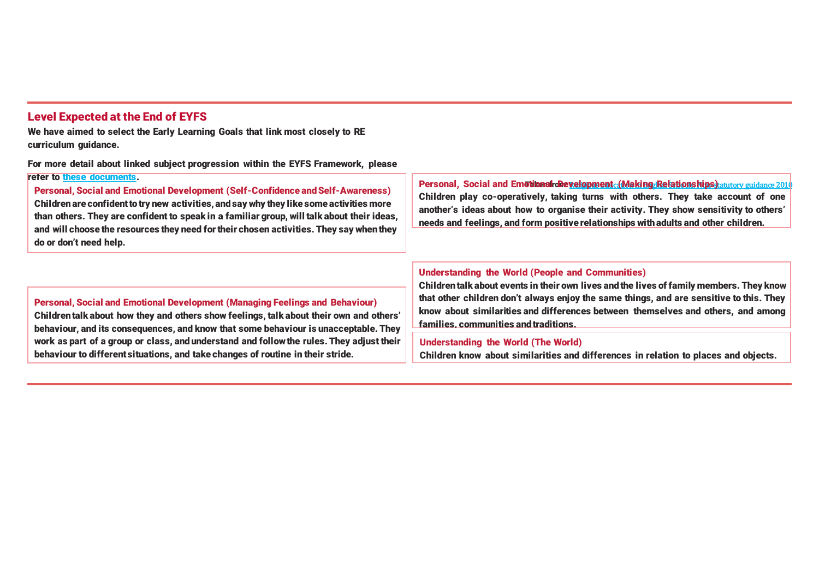## **Level Expected at the End of EYFS**

**We have aimed to select the Early Learning Goals that link most closely to RE curriculum guidance.**

**For more detail about linked subject progression within the EYFS Framework, please refer to [these documents.](https://www.twinkl.co.uk/resource/learning-in-eyfs-what-subject-leaders-need-to-know-resource-pack-t-tp-2548825)**

**Personal, Social and Emotional Development (Self-Confidence and Self-Awareness) Childrenare confidenttotry new activities,andsay why they like some activities more than others. They are confident to speak in a familiar group, will talk about their ideas, and will choose the resources they need fortheir chosen activities. They say whenthey do or don't need help.**

**Personal, Social and Emotional Development (Making Relationships)** at tory guidance 2010 **Children play co-operatively, taking turns with others. They take account of one another's ideas about how to organise their activity. They show sensitivity to others' needs and feelings, and form positive relationships with adults and other children.**

### **Personal, Social and Emotional Development (Managing Feelings and Behaviour) Children talk about how they and others show feelings, talk about their own and others' behaviour, and its consequences, and know that some behaviour is unacceptable. They work as part of a group or class, and understand and follow the rules. They adjust their behaviour to different situations, and take changes of routine in their stride.**

### **Understanding the World (People and Communities)**

**Children talk about events in their own lives and the lives of family members. They know that other children don't always enjoy the same things, and are sensitive to this. They know about similarities and differences between themselves and others, and among families, communities andtraditions.**

#### **Understanding the World (The World)**

**Children know about similarities and differences in relation to places and objects.**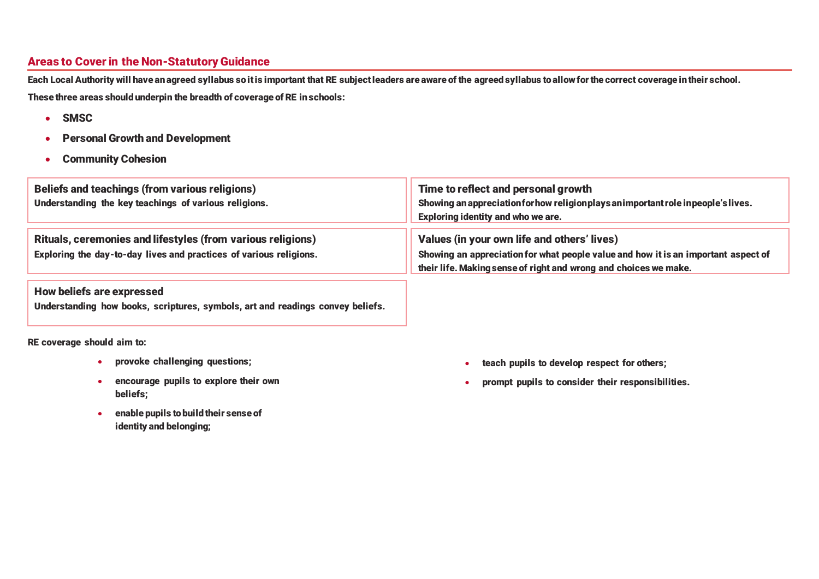# **Areas to Cover in the Non-Statutory Guidance**

Each Local Authority will have an agreed syllabus so it is important that RE subject leaders are aware of the agreed syllabus to allow for the correct coverage in their school. **These three areas shouldunderpin the breadth of coverage of RE inschools:**

- **SMSC**
- **Personal Growth and Development**
- **Community Cohesion**

| <b>Beliefs and teachings (from various religions)</b><br>Understanding the key teachings of various religions.                    | Time to reflect and personal growth<br>Showing an appreciation for how religion plays an important role in people's lives.<br><b>Exploring identity and who we are.</b>                               |
|-----------------------------------------------------------------------------------------------------------------------------------|-------------------------------------------------------------------------------------------------------------------------------------------------------------------------------------------------------|
| Rituals, ceremonies and lifestyles (from various religions)<br>Exploring the day-to-day lives and practices of various religions. | Values (in your own life and others' lives)<br>Showing an appreciation for what people value and how it is an important aspect of<br>their life. Making sense of right and wrong and choices we make. |

## **How beliefs are expressed**

**Understanding how books, scriptures, symbols, art and readings convey beliefs.**

**RE coverage should aim to:**

- **provoke challenging questions;**
- **encourage pupils to explore their own beliefs;**
- **enable pupils tobuildtheir sense of identity and belonging;**
- **teach pupils to develop respect for others;**
- **prompt pupils to consider their responsibilities.**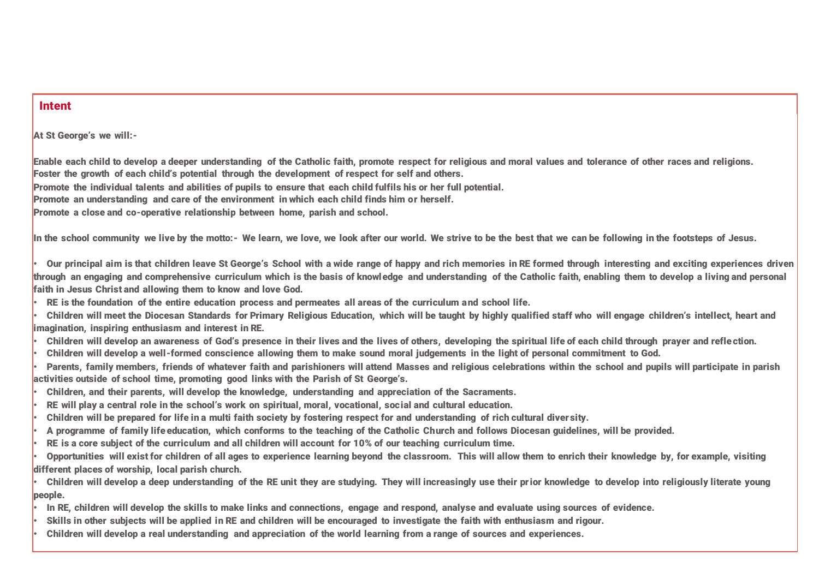### **Intent**

**At St George's we will:-**

**Enable each child to develop a deeper understanding of the Catholic faith, promote respect for religious and moral values and tolerance of other races and religions. Foster the growth of each child's potential through the development of respect for self and others.**

**Promote the individual talents and abilities of pupils to ensure that each child fulfils his or her full potential.**

**Promote an understanding and care of the environment in which each child finds him or herself.**

**Promote a close and co-operative relationship between home, parish and school.**

In the school community we live by the motto:- We learn, we love, we look after our world. We strive to be the best that we can be following in the footsteps of Jesus.

**• Our principal aim is that children leave St George's School with a wide range of happy and rich memories in RE formed through interesting and exciting experiences driven through an engaging and comprehensive curriculum which is the basis of knowledge and understanding of the Catholic faith, enabling them to develop a living and personal faith in Jesus Christ and allowing them to know and love God.**

- **• RE is the foundation of the entire education process and permeates all areas of the curriculum and school life.**
- **• Children will meet the Diocesan Standards for Primary Religious Education, which will be taught by highly qualified staff who will engage children's intellect, heart and imagination, inspiring enthusiasm and interest in RE.**
- **• Children will develop an awareness of God's presence in their lives and the lives of others, developing the spiritual life of each child through prayer and reflection.**
- **• Children will develop a well-formed conscience allowing them to make sound moral judgements in the light of personal commitment to God.**
- **• Parents, family members, friends of whatever faith and parishioners will attend Masses and religious celebrations within the school and pupils will participate in parish activities outside of school time, promoting good links with the Parish of St George's.**
- **• Children, and their parents, will develop the knowledge, understanding and appreciation of the Sacraments.**
- **• RE will play a central role in the school's work on spiritual, moral, vocational, social and cultural education.**
- **• Children will be prepared for life in a multi faith society by fostering respect for and understanding of rich cultural diver sity.**
- **• A programme of family life education, which conforms to the teaching of the Catholic Church and follows Diocesan guidelines, will be provided.**
- **• RE is a core subject of the curriculum and all children will account for 10% of our teaching curriculum time.**

**• Opportunities will exist for children of all ages to experience learning beyond the classroom. This will allow them to enrich their knowledge by, for example, visiting different places of worship, local parish church.**

**• Children will develop a deep understanding of the RE unit they are studying. They will increasingly use their prior knowledge to develop into religiously literate young people.**

- **• In RE, children will develop the skills to make links and connections, engage and respond, analyse and evaluate using sources of evidence.**
- **• Skills in other subjects will be applied in RE and children will be encouraged to investigate the faith with enthusiasm and rigour.**
- **• Children will develop a real understanding and appreciation of the world learning from a range of sources and experiences.**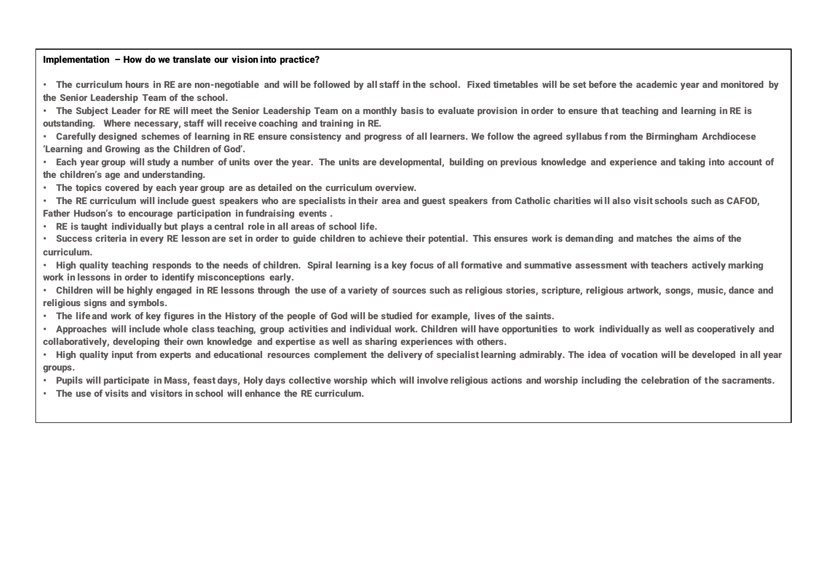#### **Implementation – How do we translate our vision into practice?**

**• The curriculum hours in RE are non-negotiable and will be followed by all staff in the school. Fixed timetables will be set before the academic year and monitored by the Senior Leadership Team of the school.**

**• The Subject Leader for RE will meet the Senior Leadership Team on a monthly basis to evaluate provision in order to ensure that teaching and learning in RE is outstanding. Where necessary, staff will receive coaching and training in RE.**

**• Carefully designed schemes of learning in RE ensure consistency and progress of all learners. We follow the agreed syllabus from the Birmingham Archdiocese 'Learning and Growing as the Children of God'.**

**• Each year group will study a number of units over the year. The units are developmental, building on previous knowledge and experience and taking into account of the children's age and understanding.**

- **• The topics covered by each year group are as detailed on the curriculum overview.**
- **• The RE curriculum will include guest speakers who are specialists in their area and guest speakers from Catholic charities wi ll also visit schools such as CAFOD, Father Hudson's to encourage participation in fundraising events .**
- **• RE is taught individually but plays a central role in all areas of school life.**
- **• Success criteria in every RE lesson are set in order to guide children to achieve their potential. This ensures work is demanding and matches the aims of the curriculum.**
- **• High quality teaching responds to the needs of children. Spiral learning is a key focus of all formative and summative assessment with teachers actively marking work in lessons in order to identify misconceptions early.**
- **• Children will be highly engaged in RE lessons through the use of a variety of sources such as religious stories, scripture, religious artwork, songs, music, dance and religious signs and symbols.**
- **• The life and work of key figures in the History of the people of God will be studied for example, lives of the saints.**
- **• Approaches will include whole class teaching, group activities and individual work. Children will have opportunities to work individually as well as cooperatively and collaboratively, developing their own knowledge and expertise as well as sharing experiences with others.**
- **• High quality input from experts and educational resources complement the delivery of specialist learning admirably. The idea of vocation will be developed in all year groups.**
- **• Pupils will participate in Mass, feast days, Holy days collective worship which will involve religious actions and worship including the celebration of the sacraments.**
- **• The use of visits and visitors in school will enhance the RE curriculum.**